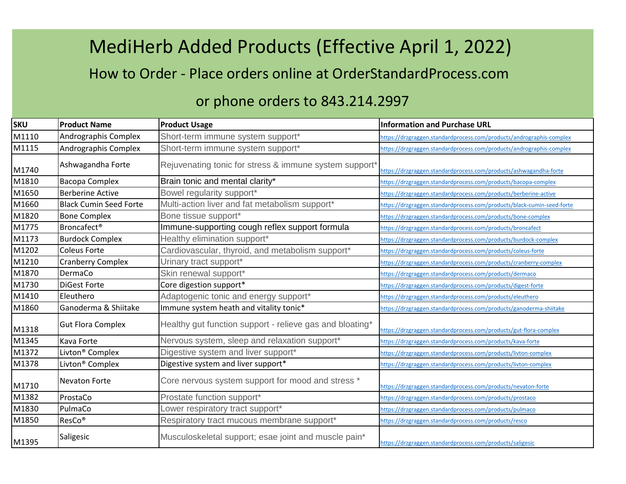## MediHerb Added Products (Effective April 1, 2022)

How to Order - Place orders online at OrderStandardProcess.com

## or phone orders to 843.214.2997

| <b>SKU</b> | <b>Product Name</b>           | <b>Product Usage</b>                                     | <b>Information and Purchase URL</b>                                    |
|------------|-------------------------------|----------------------------------------------------------|------------------------------------------------------------------------|
| M1110      | Andrographis Complex          | Short-term immune system support*                        | https://drzgraggen.standardprocess.com/products/andrographis-complex   |
| M1115      | Andrographis Complex          | Short-term immune system support*                        | https://drzgraggen.standardprocess.com/products/andrographis-complex   |
| M1740      | Ashwagandha Forte             | Rejuvenating tonic for stress & immune system support*   | https://drzgraggen.standardprocess.com/products/ashwagandha-forte      |
| M1810      | <b>Bacopa Complex</b>         | Brain tonic and mental clarity*                          | https://drzgraggen.standardprocess.com/products/bacopa-complex         |
| M1650      | <b>Berberine Active</b>       | Bowel regularity support*                                | https://drzgraggen.standardprocess.com/products/berberine-active       |
| M1660      | <b>Black Cumin Seed Forte</b> | Multi-action liver and fat metabolism support*           | https://drzgraggen.standardprocess.com/products/black-cumin-seed-forte |
| M1820      | <b>Bone Complex</b>           | Bone tissue support*                                     | https://drzgraggen.standardprocess.com/products/bone-complex           |
| M1775      | <b>Broncafect®</b>            | Immune-supporting cough reflex support formula           | https://drzgraggen.standardprocess.com/products/broncafect             |
| M1173      | <b>Burdock Complex</b>        | Healthy elimination support*                             | https://drzgraggen.standardprocess.com/products/burdock-complex        |
| M1202      | <b>Coleus Forte</b>           | Cardiovascular, thyroid, and metabolism support*         | https://drzgraggen.standardprocess.com/products/coleus-forte           |
| M1210      | <b>Cranberry Complex</b>      | Urinary tract support*                                   | https://drzgraggen.standardprocess.com/products/cranberry-complex      |
| M1870      | DermaCo                       | Skin renewal support*                                    | https://drzgraggen.standardprocess.com/products/dermaco                |
| M1730      | <b>DiGest Forte</b>           | Core digestion support*                                  | https://drzgraggen.standardprocess.com/products/digest-forte           |
| M1410      | Eleuthero                     | Adaptogenic tonic and energy support*                    | https://drzgraggen.standardprocess.com/products/eleuthero              |
| M1860      | Ganoderma & Shiitake          | Immune system heath and vitality tonic*                  | https://drzgraggen.standardprocess.com/products/ganoderma-shiitake     |
| M1318      | <b>Gut Flora Complex</b>      | Healthy gut function support - relieve gas and bloating* | https://drzgraggen.standardprocess.com/products/gut-flora-complex      |
| M1345      | Kava Forte                    | Nervous system, sleep and relaxation support*            | https://drzgraggen.standardprocess.com/products/kava-forte             |
| M1372      | Livton <sup>®</sup> Complex   | Digestive system and liver support*                      | https://drzgraggen.standardprocess.com/products/livton-complex         |
| M1378      | Livton <sup>®</sup> Complex   | Digestive system and liver support*                      | https://drzgraggen.standardprocess.com/products/livton-complex         |
| M1710      | Nevaton Forte                 | Core nervous system support for mood and stress *        | https://drzgraggen.standardprocess.com/products/nevaton-forte          |
| M1382      | ProstaCo                      | Prostate function support*                               | https://drzgraggen.standardprocess.com/products/prostaco               |
| M1830      | PulmaCo                       | Lower respiratory tract support*                         | https://drzgraggen.standardprocess.com/products/pulmaco                |
| M1850      | ResCo <sup>®</sup>            | Respiratory tract mucous membrane support*               | https://drzgraggen.standardprocess.com/products/resco                  |
| M1395      | Saligesic                     | Musculoskeletal support; esae joint and muscle pain*     | https://drzgraggen.standardprocess.com/products/saligesic              |